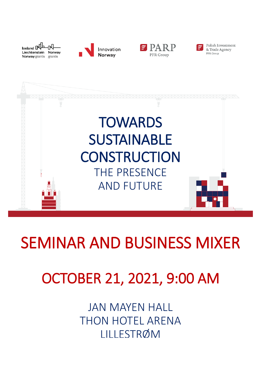







Polish Investment & Trade Agency PFR Group



# SEMINAR AND BUSINESS MIXER

# OCTOBER 21, 2021, 9:00 AM

JAN MAYEN HALL THON HOTEL ARENA LILLESTRØM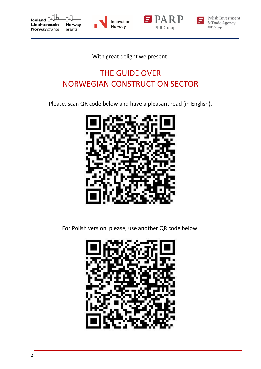







With great delight we present:

## THE GUIDE OVER NORWEGIAN CONSTRUCTION SECTOR

Please, scan QR code below and have a pleasant read (in English).



For Polish version, please, use another QR code below.

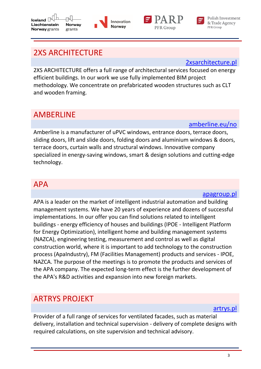3

## 2XS ARCHITECTURE

2XS ARCHITECTURE offers a full range of architectural services focused on energy efficient buildings. In our work we use fully implemented BIM project methodology. We concentrate on prefabricated wooden structures such as CLT and wooden framing.

## AMBERLINE

[amberline.eu/no](http://www.amberline.eu/no) Amberline is a manufacturer of uPVC windows, entrance doors, terrace doors, sliding doors, lift and slide doors, folding doors and aluminium windows & doors, terrace doors, curtain walls and structural windows. Innovative company specialized in energy-saving windows, smart & design solutions and cutting-edge technology.

## APA

#### [apagroup.pl](http://www.apagroup.pl/)

APA is a leader on the market of intelligent industrial automation and building management systems. We have 20 years of experience and dozens of successful implementations. In our offer you can find solutions related to intelligent buildings - energy efficiency of houses and buildings (IPOE - Intelligent Platform for Energy Optimization), intelligent home and building management systems (NAZCA), engineering testing, measurement and control as well as digital construction world, where it is important to add technology to the construction process (ApaIndustry), FM (Facilities Management) products and services - IPOE, NAZCA. The purpose of the meetings is to promote the products and services of the APA company. The expected long-term effect is the further development of the APA's R&D activities and expansion into new foreign markets.

## ARTRYS PROJEKT

#### [artrys.pl](http://www.artrys.pl/)

Provider of a full range of services for ventilated facades, such as material delivery, installation and technical supervision - delivery of complete designs with required calculations, on site supervision and technical advisory.







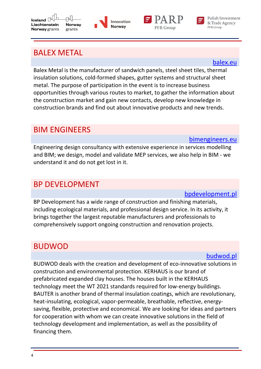Balex Metal is the manufacturer of sandwich panels, steel sheet tiles, thermal insulation solutions, cold-formed shapes, gutter systems and structural sheet metal. The purpose of participation in the event is to increase business opportunities through various routes to market, to gather the information about the construction market and gain new contacts, develop new knowledge in construction brands and find out about innovative products and new trends.

#### BIM ENGINEERS

Engineering design consultancy with extensive experience in services modelling and BIM; we design, model and validate MEP services, we also help in BIM - we understand it and do not get lost in it.

#### BP DEVELOPMENT

BP Development has a wide range of construction and finishing materials, including ecological materials, and professional design service. In its activity, it brings together the largest reputable manufacturers and professionals to comprehensively support ongoing construction and renovation projects.

#### BUDWOD

BUDWOD deals with the creation and development of eco-innovative solutions in construction and environmental protection. KERHAUS is our brand of prefabricated expanded clay houses. The houses built in the KERHAUS technology meet the WT 2021 standards required for low-energy buildings. BAUTER is another brand of thermal insulation coatings, which are revolutionary, heat-insulating, ecological, vapor-permeable, breathable, reflective, energysaving, flexible, protective and economical. We are looking for ideas and partners for cooperation with whom we can create innovative solutions in the field of technology development and implementation, as well as the possibility of financing them.

#### BALEX METAL

**Iceland**  $\mathbb{R}^{\mathbb{L}}$ 

Liechtenstein

Norway grants

## [balex.eu](http://www.balex.eu/)

[bimengineers.eu](http://www.bimengineers.eu/)

[bpdevelopment.pl](http://www.bpdevelopment.pl/)

Polish Investment & Trade Agency PFR Group

гN



# PFR Group



#### [budwod.pl](http://budwod.pl/)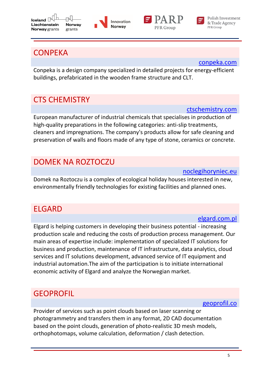

**Norway** 

grants

#### **CONPEKA**

**Iceland**  $\mathbb{N}^{\downarrow}$ 

Liechtenstein

Norway grants

Conpeka is a design company specialized in detailed projects for energy-efficient buildings, prefabricated in the wooden frame structure and CLT.

Innovation

Norway

## CTS CHEMISTRY

European manufacturer of industrial chemicals that specialises in production of high-quality preparations in the following categories: anti-slip treatments, cleaners and impregnations. The company's products allow for safe cleaning and preservation of walls and floors made of any type of stone, ceramics or concrete.

## DOMEK NA ROZTOCZU

Domek na Roztoczu is a complex of ecological holiday houses interested in new, environmentally friendly technologies for existing facilities and planned ones.

#### ELGARD

Elgard is helping customers in developing their business potential - increasing production scale and reducing the costs of production process management. Our main areas of expertise include: implementation of specialized IT solutions for business and production, maintenance of IT infrastructure, data analytics, cloud services and IT solutions development, advanced service of IT equipment and industrial automation.The aim of the participation is to initiate international economic activity of Elgard and analyze the Norwegian market.

#### **GEOPROFIL**

Provider of services such as point clouds based on laser scanning or photogrammetry and transfers them in any format, 2D CAD documentation based on the point clouds, generation of photo-realistic 3D mesh models, orthophotomaps, volume calculation, deformation / clash detection.

[ctschemistry.com](http://www.ctschemistry.com/)

# [noclegihoryniec.eu](http://www.noclegihoryniec.eu/)

#### [elgard.com.pl](http://www.elgard.com.pl/)

[geoprofil.co](http://www.geoprofil.co/)

## [conpeka.com](http://www.conpeka.com/)

Polish Investment & Trade Agency PFR Group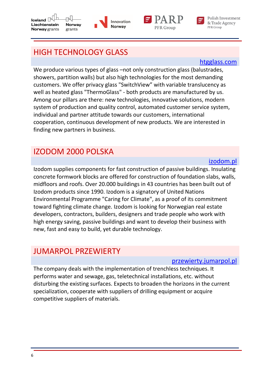## HIGH TECHNOLOGY GLASS

гN

**Norway** 

grants

**Iceland**  $\mathbb{R}^{\mathbb{L}}$ 

Liechtenstein

Norway grants

#### [htgglass.com](http://www.htgglass.com/)

We produce various types of glass –not only construction glass (balustrades, showers, partition walls) but also high technologies for the most demanding customers. We offer privacy glass "SwitchView" with variable translucency as well as heated glass "ThermoGlass" - both products are manufactured by us. Among our pillars are there: new technologies, innovative solutions, modern system of production and quality control, automated customer service system, individual and partner attitude towards our customers, international cooperation, continuous development of new products. We are interested in finding new partners in business.

Innovation

Norway

## IZODOM 2000 POLSKA

[izodom.pl](http://www.izodom.pl/) Izodom supplies components for fast construction of passive buildings. Insulating concrete formwork blocks are offered for construction of foundation slabs, walls, midfloors and roofs. Over 20.000 buildings in 43 countries has been built out of Izodom products since 1990. Izodom is a signatory of United Nations Environmental Programme "Caring for Climate", as a proof of its commitment toward fighting climate change. Izodom is looking for Norwegian real estate developers, contractors, builders, designers and trade people who work with high energy saving, passive buildings and want to develop their business with new, fast and easy to build, yet durable technology.

## JUMARPOL PRZEWIERTY

#### [przewierty.jumarpol.pl](http://www.przewierty.jumarpol.pl/)

The company deals with the implementation of trenchless techniques. It performs water and sewage, gas, teletechnical installations, etc. without disturbing the existing surfaces. Expects to broaden the horizons in the current specialization, cooperate with suppliers of drilling equipment or acquire competitive suppliers of materials.

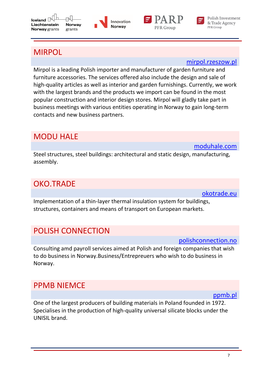Mirpol is a leading Polish importer and manufacturer of garden furniture and furniture accessories. The services offered also include the design and sale of high-quality articles as well as interior and garden furnishings. Currently, we work with the largest brands and the products we import can be found in the most popular construction and interior design stores. Mirpol will gladly take part in business meetings with various entities operating in Norway to gain long-term contacts and new business partners.

## MODU HALE

MIRPOL

Steel structures, steel buildings: architectural and static design, manufacturing, assembly.

## OKO.TRADE

Implementation of a thin-layer thermal insulation system for buildings, structures, containers and means of transport on European markets.

## POLISH CONNECTION

Norway.

Consulting amd payroll services aimed at Polish and foreign companies that wish

to do business in Norway.Business/Entrepreuers who wish to do business in

#### PPMB NIEMCE

One of the largest producers of building materials in Poland founded in 1972. Specialises in the production of high-quality universal silicate blocks under the UNISIL brand.





[okotrade.eu](https://okotrade.eu/)

[moduhale.com](http://www.moduhale.com/)

[polishconnection.no](http://www.polishconnection.no/)

[ppmb.pl](http://www.ppmb.pl/)





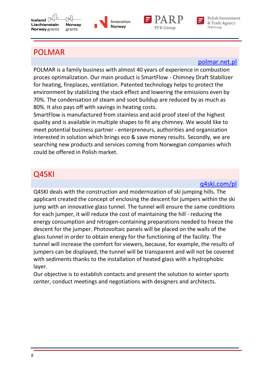**Iceland**  $\mathbb{N}^{\downarrow}$ Liechtenstein Norway grants grants

**Norway** 





Polish Investment & Trade Agency PFR Group

#### POLMAR

#### [polmar.net.pl](http://www.polmar.net.pl/)

POLMAR is a family business with almost 40 years of experience in combustion proces optimalization. Our main product is SmartFlow - Chimney Draft Stabilizer for heating, fireplaces, ventilation. Patented technology helps to protect the environment by stabilizing the stack effect and lowering the emissions even by 70%. The condensation of steam and soot buildup are reduced by as much as 80%. It also pays off with savings in heating costs.

SmartFlow is manufactured from stainless and acid proof steel of the highest quality and is available in multiple shapes to fit any chimney. We would like to meet potential business partner - enterpreneurs, authorities and organization interested in solution which brings eco & save money results. Secondly, we are searching new products and services coming from Norwegian companies which could be offered in Polish market.

#### Q4SKI

[q4ski.com/pl](https://q4ski.com/pl)

Q4SKI deals with the construction and modernization of ski jumping hills. The applicant created the concept of enclosing the descent for jumpers within the ski jump with an innovative glass tunnel. The tunnel will ensure the same conditions for each jumper, it will reduce the cost of maintaining the hill - reducing the energy consumption and nitrogen-containing preparations needed to freeze the descent for the jumper. Photovoltaic panels will be placed on the walls of the glass tunnel in order to obtain energy for the functioning of the facility. The tunnel will increase the comfort for viewers, because, for example, the results of jumpers can be displayed, the tunnel will be transparent and will not be covered with sediments thanks to the installation of heated glass with a hydrophobic layer.

Our objective is to establish contacts and present the solution to winter sports center, conduct meetings and negotiations with designers and architects.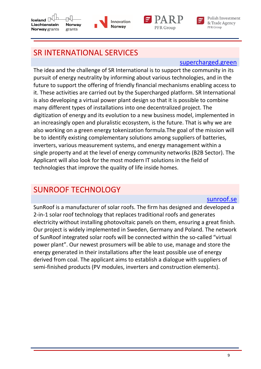**Iceland**  $\mathbb{N}^{\perp}$ Liechtenstein Norway grants









#### SR INTERNATIONAL SERVICES

#### [supercharged.green](https://supercharged.green/)

The idea and the challenge of SR International is to support the community in its pursuit of energy neutrality by informing about various technologies, and in the future to support the offering of friendly financial mechanisms enabling access to it. These activities are carried out by the Supercharged platform. SR International is also developing a virtual power plant design so that it is possible to combine many different types of installations into one decentralized project. The digitization of energy and its evolution to a new business model, implemented in an increasingly open and pluralistic ecosystem, is the future. That is why we are also working on a green energy tokenization formula.The goal of the mission will be to identify existing complementary solutions among suppliers of batteries, inverters, various measurement systems, and energy management within a single property and at the level of energy community networks (B2B Sector). The Applicant will also look for the most modern IT solutions in the field of technologies that improve the quality of life inside homes.

## SUNROOF TECHNOLOGY

#### [sunroof.se](http://www.sunroof.se/)

SunRoof is a manufacturer of solar roofs. The firm has designed and developed a 2-in-1 solar roof technology that replaces traditional roofs and generates electricity without installing photovoltaic panels on them, ensuring a great finish. Our project is widely implemented in Sweden, Germany and Poland. The network of SunRoof integrated solar roofs will be connected within the so-called "virtual power plant". Our newest prosumers will be able to use, manage and store the energy generated in their installations after the least possible use of energy derived from coal. The applicant aims to establish a dialogue with suppliers of semi-finished products (PV modules, inverters and construction elements).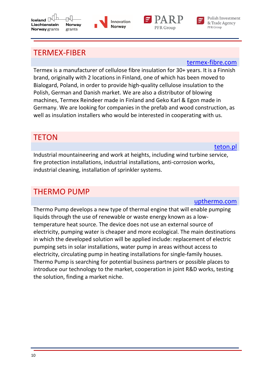







#### TERMEX-FIBER

#### [termex-fibre.com](http://www.termex-fibre.com/)

Termex is a manufacturer of cellulose fibre insulation for 30+ years. It is a Finnish brand, originally with 2 locations in Finland, one of which has been moved to Bialogard, Poland, in order to provide high-quality cellulose insulation to the Polish, German and Danish market. We are also a distributor of blowing machines, Termex Reindeer made in Finland and Geko Karl & Egon made in Germany. We are looking for companies in the prefab and wood construction, as well as insulation installers who would be interested in cooperating with us.

## **TETON**

[teton.pl](http://www.teton.pl/)

Industrial mountaineering and work at heights, including wind turbine service, fire protection installations, industrial installations, anti-corrosion works, industrial cleaning, installation of sprinkler systems.

## THERMO PUMP

#### [upthermo.com](http://www.upthermo.com/)

Thermo Pump develops a new type of thermal engine that will enable pumping liquids through the use of renewable or waste energy known as a lowtemperature heat source. The device does not use an external source of electricity, pumping water is cheaper and more ecological. The main destinations in which the developed solution will be applied include: replacement of electric pumping sets in solar installations, water pump in areas without access to electricity, circulating pump in heating installations for single-family houses. Thermo Pump is searching for potential business partners or possible places to introduce our technology to the market, cooperation in joint R&D works, testing the solution, finding a market niche.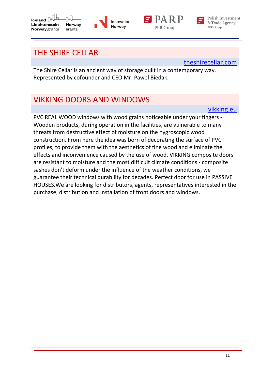Polish Investment & Trade Agency PFR Group

[theshirecellar.com](http://www.theshirecellar.com/)

The Shire Cellar is an ancient way of storage built in a contemporary way. Represented by cofounder and CEO Mr. Pawel Biedak.

Innovation

PFR Group

Norway

## VIKKING DOORS AND WINDOWS

[vikking.eu](http://www.vikking.eu/) PVC REAL WOOD windows with wood grains noticeable under your fingers - Wooden products, during operation in the facilities, are vulnerable to many threats from destructive effect of moisture on the hygroscopic wood construction. From here the idea was born of decorating the surface of PVC profiles, to provide them with the aesthetics of fine wood and eliminate the effects and inconvenience caused by the use of wood. VIKKING composite doors are resistant to moisture and the most difficult climate conditions - composite sashes don't deform under the influence of the weather conditions, we guarantee their technical durability for decades. Perfect door for use in PASSIVE HOUSES.We are looking for distributors, agents, representatives interested in the purchase, distribution and installation of front doors and windows.

#### THE SHIRE CELLAR

**Iceland**  $\mathbb{N}^{\perp}$ Liechtenstein Norway grants